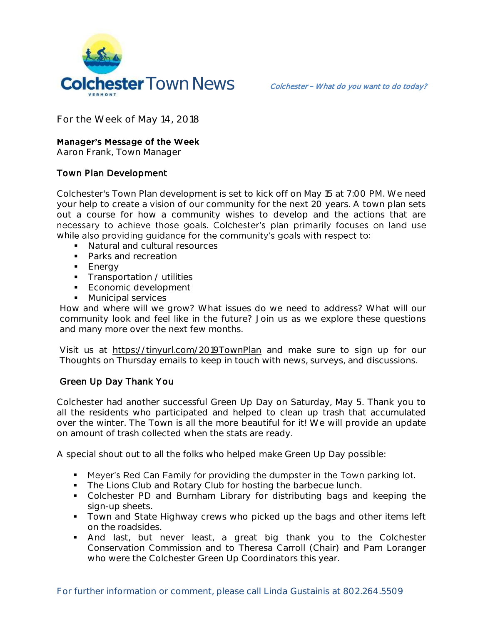

**For the Week of May 14, 2018**

## **Manager's Message of the Week**

**Aaron Frank, Town Manager**

## Town Plan Development

Colchester's Town Plan development is set to kick off on May 15 at 7:00 PM. We need your help to create a vision of our community for the next 20 years. A town plan sets out a course for how a community wishes to develop and the actions that are necessary to achieve those goals. Colchester's plan primarily focuses on land use while also providing guidance for the community's goals with respect to:

- **Natural and cultural resources**
- Parks and recreation
- **Energy**
- **Transportation / utilities**
- **Economic development**
- **Municipal services**

How and where will we grow? What issues do we need to address? What will our community look and feel like in the future? Join us as we explore these questions and many more over the next few months.

Visit us at https://tinyurl.com/2019TownPlan and make sure to sign up for our Thoughts on Thursday emails to keep in touch with news, surveys, and discussions.

## Green Up Day Thank You

Colchester had another successful Green Up Day on Saturday, May 5. Thank you to all the residents who participated and helped to clean up trash that accumulated over the winter. The Town is all the more beautiful for it! We will provide an update on amount of trash collected when the stats are ready.

A special shout out to all the folks who helped make Green Up Day possible:

- Meyer's Red Can Family for providing the dumpster in the Town parking lot.
- **The Lions Club and Rotary Club for hosting the barbecue lunch.**
- Colchester PD and Burnham Library for distributing bags and keeping the sign-up sheets.
- Town and State Highway crews who picked up the bags and other items left on the roadsides.
- And last, but never least, a great big thank you to the Colchester Conservation Commission and to Theresa Carroll (Chair) and Pam Loranger who were the Colchester Green Up Coordinators this year.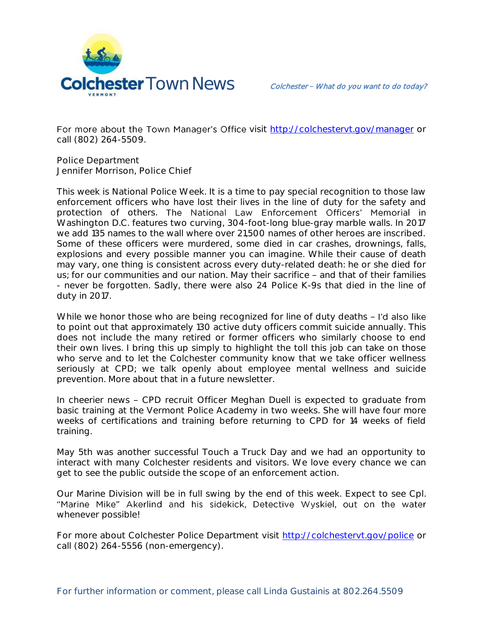

For more about the Town Manager's Office visit http://colchesteryt.gov/manager or call (802) 264-5509.

**Police Department Jennifer Morrison, Police Chief** 

This week is National Police Week. It is a time to pay special recognition to those law enforcement officers who have lost their lives in the line of duty for the safety and protection of others. The National Law Enforcement Officers' Memorial in Washington D.C. features two curving, 304-foot-long blue-gray marble walls. In 2017 we add 135 names to the wall where over 21,500 names of other heroes are inscribed. Some of these officers were murdered, some died in car crashes, drownings, falls, explosions and every possible manner you can imagine. While their cause of death may vary, one thing is consistent across every duty-related death: he or she died for us; for our communities and our nation. May their sacrifice - and that of their families - never be forgotten. Sadly, there were also 24 Police K-9s that died in the line of duty in 2017.

While we honor those who are being recognized for line of duty deaths - I'd also like to point out that approximately 130 active duty officers commit suicide annually. This does not include the many retired or former officers who similarly choose to end their own lives. I bring this up simply to highlight the toll this job can take on those who serve and to let the Colchester community know that we take officer wellness seriously at CPD; we talk openly about employee mental wellness and suicide prevention. More about that in a future newsletter.

In cheerier news - CPD recruit Officer Meghan Duell is expected to graduate from basic training at the Vermont Police Academy in two weeks. She will have four more weeks of certifications and training before returning to CPD for 14 weeks of field training.

May 5th was another successful Touch a Truck Day and we had an opportunity to interact with many Colchester residents and visitors. We love every chance we can get to see the public outside the scope of an enforcement action.

Our Marine Division will be in full swing by the end of this week. Expect to see Cpl.<br>"Marine Mike" Akerlind and his sidekick, Detective Wyskiel, out on the water whenever possible!

For more about Colchester Police Department visit<http://colchestervt.gov/police> or call (802) 264-5556 (non-emergency).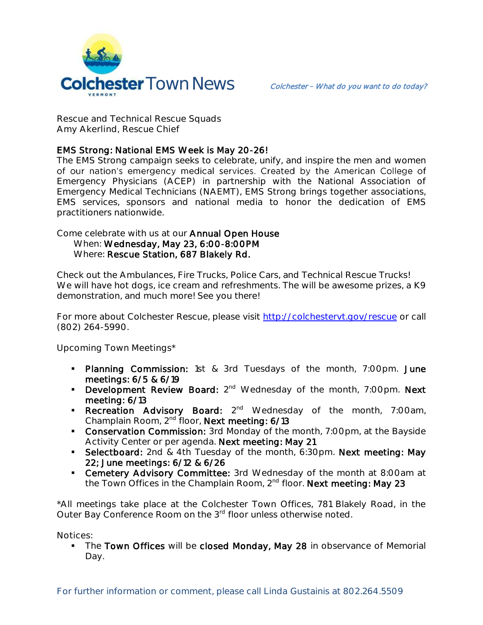

**Rescue and Technical Rescue Squads Amy Akerlind, Rescue Chief**

## EMS Strong: National EMS Week is May 20-26!

The EMS Strong campaign seeks to celebrate, unify, and inspire the men and women of our nation's emergency medical services. Created by the American College of Emergency Physicians (ACEP) in partnership with the National Association of Emergency Medical Technicians (NAEMT), EMS Strong brings together associations, EMS services, sponsors and national media to honor the dedication of EMS practitioners nationwide.

Come celebrate with us at our Annual Open House When: Wednesday, May 23, 6:00-8:00PM Where: Rescue Station, 687 Blakely Rd.

Check out the Ambulances, Fire Trucks, Police Cars, and Technical Rescue Trucks! We will have hot dogs, ice cream and refreshments. The will be awesome prizes, a K9 demonstration, and much more! See you there!

For more about Colchester Rescue, please visit [http://colchestervt.gov/rescue](http://colchestervt.gov/rescue/index.shtml) or call (802) 264-5990.

**Upcoming Town Meetings\***

- **Planning Commission:** 1st & 3rd Tuesdays of the month, 7:00pm. June meetings: 6/5 & 6/19
- **Development Review Board:**  $2^{nd}$  Wednesday of the month, 7:00pm. Next meeting: 6/13
- **Recreation Advisory Board:** 2<sup>nd</sup> Wednesday of the month, 7:00am, Champlain Room, 2nd floor, Next meeting: 6/13
- **Conservation Commission:** 3rd Monday of the month, 7:00pm, at the Bayside Activity Center or per agenda. Next meeting: May 21
- Selectboard: 2nd & 4th Tuesday of the month, 6:30pm. Next meeting: May 22; June meetings: 6/12 & 6/26
- **Cemetery Advisory Committee:** 3rd Wednesday of the month at 8:00am at the Town Offices in the Champlain Room, 2<sup>nd</sup> floor. Next meeting: May 23

\*All meetings take place at the Colchester Town Offices, 781 Blakely Road, in the Outer Bay Conference Room on the 3<sup>rd</sup> floor unless otherwise noted.

**Notices:** 

The Town Offices will be closed Monday, May 28 in observance of Memorial Day.